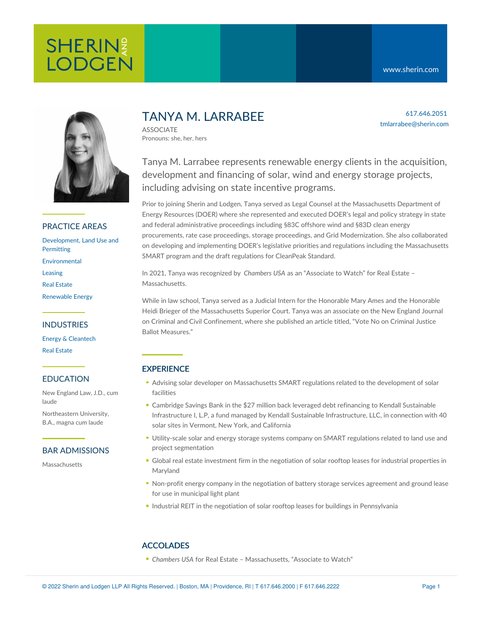617.646.2051

tmlarrabee@sherin.com



## PRACTICE AREAS

[Development,](https://www.sherin.com/practice-areas/real-estate/development/) Land Use and **Permitting** [Environmental](https://www.sherin.com/practice-areas/environmental/) [Leasing](https://www.sherin.com/practice-areas/real-estate/leasing/) Real [Estate](https://www.sherin.com/practice-areas/real-estate/) [Renewable](https://www.sherin.com/practice-areas/renewable-energy/) Energy

## INDUSTRIES

Energy & [Cleantech](https://www.sherin.com/industries/energy-and-cleantech/) Real [Estate](https://www.sherin.com/industries/real-estate/)

### EDUCATION

New England Law, J.D., cum laude

Northeastern University, B.A., magna cum laude

## BAR ADMISSIONS

Massachusetts

# TANYA M. LARRABEE

ASSOCIATE Pronouns: she, her, hers

Tanya M. Larrabee represents renewable energy clients in the acquisition, development and financing of solar, wind and energy storage projects, including advising on state incentive programs.

Prior to joining Sherin and Lodgen, Tanya served as Legal Counsel at the Massachusetts Department of Energy Resources (DOER) where she represented and executed DOER's legal and policy strategy in state and federal administrative proceedings including §83C offshore wind and §83D clean energy procurements, rate case proceedings, storage proceedings, and Grid Modernization. She also collaborated on developing and implementing DOER's legislative priorities and regulations including the Massachusetts SMART program and the draft regulations for CleanPeak Standard.

In 2021, Tanya was recognized by *Chambers USA* as an "Associate to Watch" for Real Estate – Massachusetts.

While in law school, Tanya served as a Judicial Intern for the Honorable Mary Ames and the Honorable Heidi Brieger of the Massachusetts Superior Court. Tanya was an associate on the New England Journal on Criminal and Civil Confinement, where she published an article titled, "Vote No on Criminal Justice Ballot Measures."

## **EXPERIENCE**

- Advising solar developer on Massachusetts SMART regulations related to the development of solar facilities
- Cambridge Savings Bank in the \$27 million back leveraged debt refinancing to Kendall Sustainable Infrastructure I, L.P, a fund managed by Kendall Sustainable Infrastructure, LLC, in connection with 40 solar sites in Vermont, New York, and California
- Utility-scale solar and energy storage systems company on SMART regulations related to land use and project segmentation
- Global real estate investment firm in the negotiation of solar rooftop leases for industrial properties in Maryland
- Non-profit energy company in the negotiation of battery storage services agreement and ground lease for use in municipal light plant
- Industrial REIT in the negotiation of solar rooftop leases for buildings in Pennsylvania

## ACCOLADES

*Chambers USA* for Real Estate – Massachusetts, "Associate to Watch"